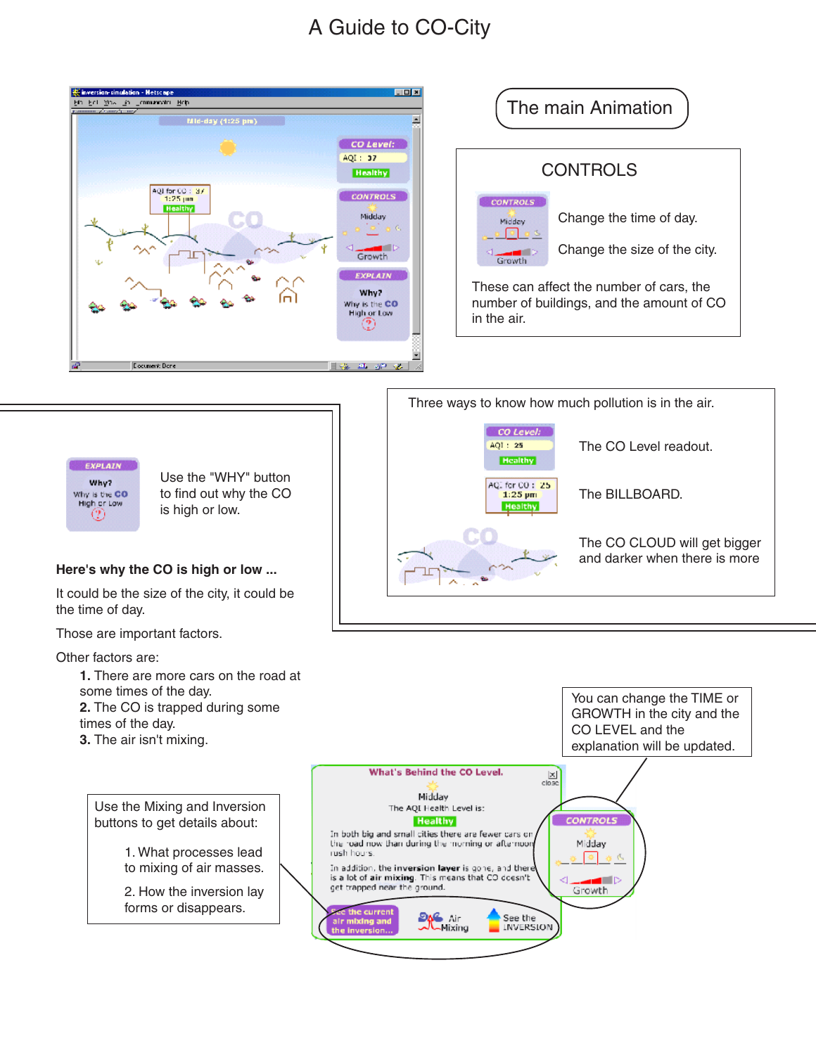## A Guide to CO-City

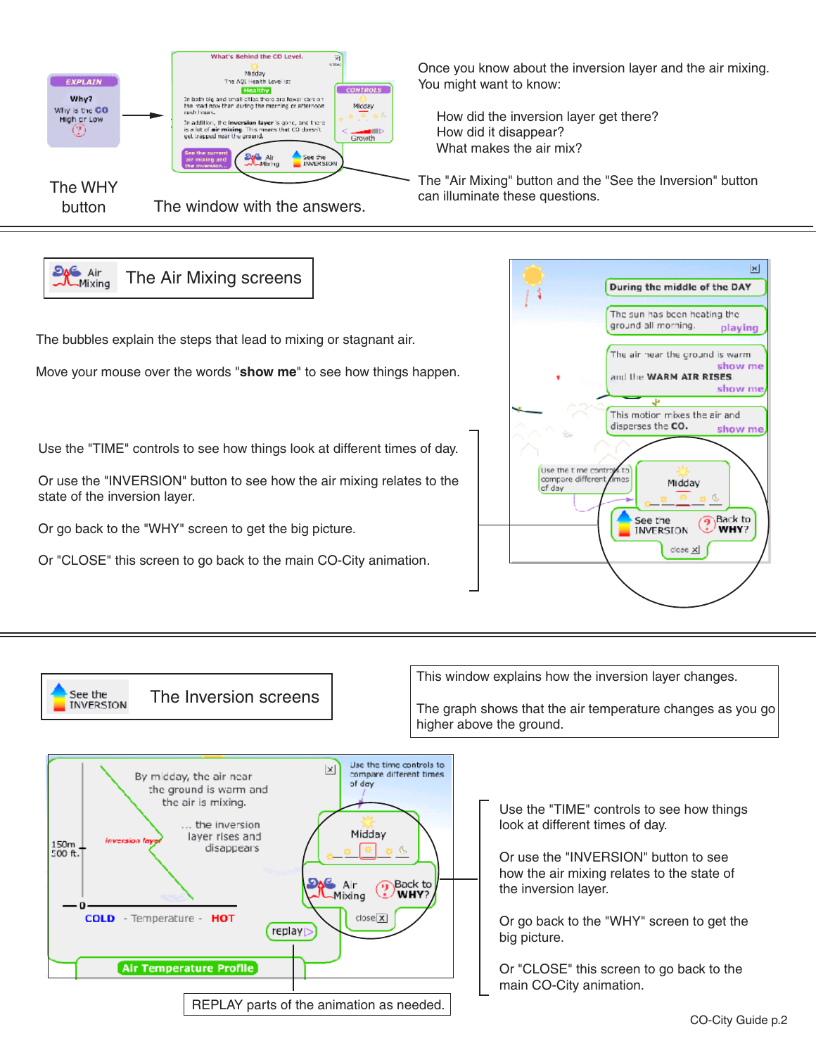

The bubbles explain the steps that lead to mixing or stagnant air.

**J**Mixing

See the **INVERSION** 

Move your mouse over the words "**show me**" to see how things happen.

Use the "TIME" controls to see how things look at different times of day.

Or use the "INVERSION" button to see how the air mixing relates to the state of the inversion layer.

Or go back to the "WHY" screen to get the big picture.

Or "CLOSE" this screen to go back to the main CO-City animation.

The Inversion screens



This window explains how the inversion layer changes.

The graph shows that the air temperature changes as you go higher above the ground.



Use the "TIME" controls to see how things look at different times of day.

Or use the "INVERSION" button to see how the air mixing relates to the state of the inversion layer.

Or go back to the "WHY" screen to get the big picture.

Or "CLOSE" this screen to go back to the main CO-City animation.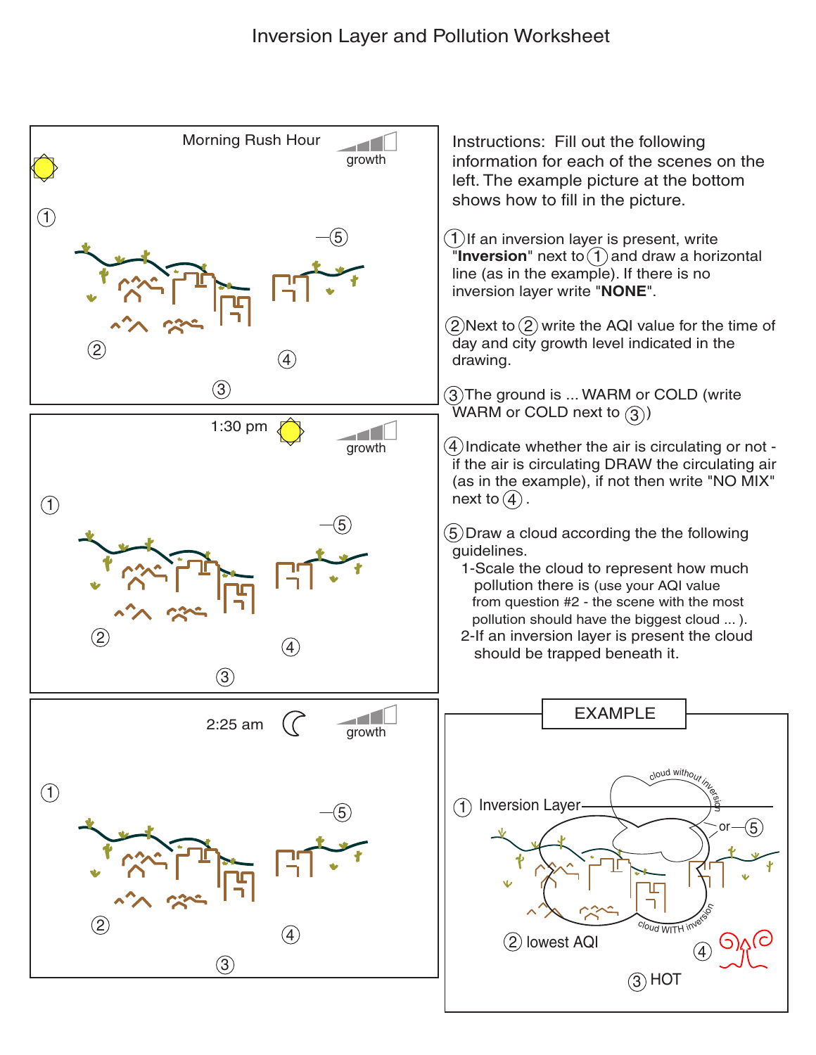